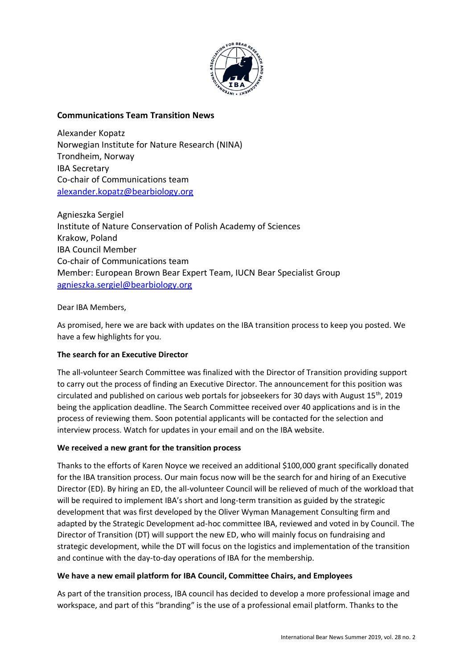

# **Communications Team Transition News**

Alexander Kopatz Norwegian Institute for Nature Research (NINA) Trondheim, Norway IBA Secretary Co-chair of Communications team [alexander.kopatz@bearbiology.org](mailto:alexander.kopatz@bearbiology.org)

Agnieszka Sergiel Institute of Nature Conservation of Polish Academy of Sciences Krakow, Poland IBA Council Member Co-chair of Communications team Member: European Brown Bear Expert Team, IUCN Bear Specialist Group [agnieszka.sergiel@bearbiology.org](mailto:agnieszka.sergiel@bearbiology.org)

## Dear IBA Members,

As promised, here we are back with updates on the IBA transition process to keep you posted. We have a few highlights for you.

## **The search for an Executive Director**

The all-volunteer Search Committee was finalized with the Director of Transition providing support to carry out the process of finding an Executive Director. The announcement for this position was circulated and published on carious web portals for jobseekers for 30 days with August 15th, 2019 being the application deadline. The Search Committee received over 40 applications and is in the process of reviewing them. Soon potential applicants will be contacted for the selection and interview process. Watch for updates in your email and on the IBA website.

### **We received a new grant for the transition process**

Thanks to the efforts of Karen Noyce we received an additional \$100,000 grant specifically donated for the IBA transition process. Our main focus now will be the search for and hiring of an Executive Director (ED). By hiring an ED, the all-volunteer Council will be relieved of much of the workload that will be required to implement IBA's short and long-term transition as guided by the strategic development that was first developed by the Oliver Wyman Management Consulting firm and adapted by the Strategic Development ad-hoc committee IBA, reviewed and voted in by Council. The Director of Transition (DT) will support the new ED, who will mainly focus on fundraising and strategic development, while the DT will focus on the logistics and implementation of the transition and continue with the day-to-day operations of IBA for the membership.

### **We have a new email platform for IBA Council, Committee Chairs, and Employees**

As part of the transition process, IBA council has decided to develop a more professional image and workspace, and part of this "branding" is the use of a professional email platform. Thanks to the